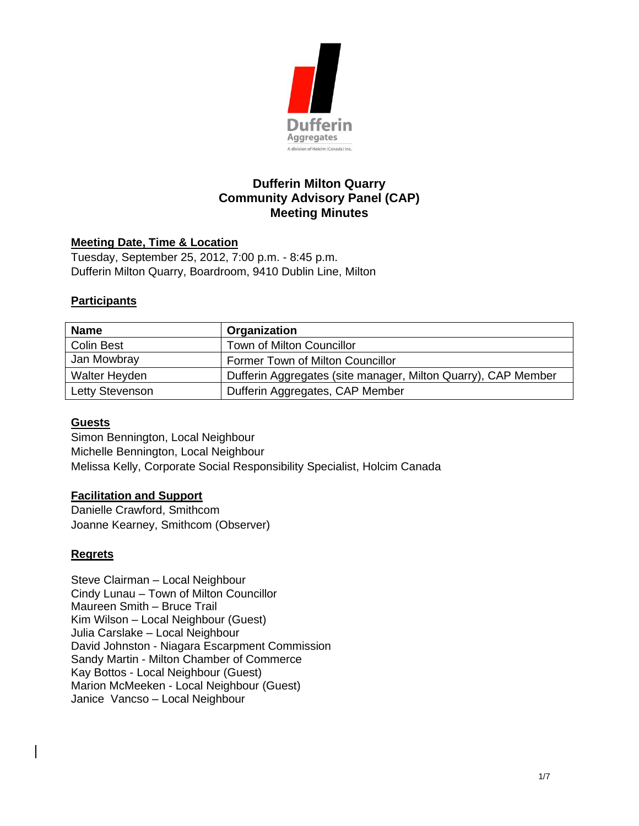

# **Dufferin Milton Quarry Community Advisory Panel (CAP) Meeting Minutes**

### **Meeting Date, Time & Location**

Tuesday, September 25, 2012, 7:00 p.m. - 8:45 p.m. Dufferin Milton Quarry, Boardroom, 9410 Dublin Line, Milton

### **Participants**

| <b>Name</b>          | Organization                                                  |
|----------------------|---------------------------------------------------------------|
| <b>Colin Best</b>    | <b>Town of Milton Councillor</b>                              |
| Jan Mowbray          | Former Town of Milton Councillor                              |
| <b>Walter Heyden</b> | Dufferin Aggregates (site manager, Milton Quarry), CAP Member |
| Letty Stevenson      | Dufferin Aggregates, CAP Member                               |

#### **Guests**

Simon Bennington, Local Neighbour Michelle Bennington, Local Neighbour Melissa Kelly, Corporate Social Responsibility Specialist, Holcim Canada

#### **Facilitation and Support**

Danielle Crawford, Smithcom Joanne Kearney, Smithcom (Observer)

## **Regrets**

Steve Clairman – Local Neighbour Cindy Lunau – Town of Milton Councillor Maureen Smith – Bruce Trail Kim Wilson – Local Neighbour (Guest) Julia Carslake – Local Neighbour David Johnston - Niagara Escarpment Commission Sandy Martin - Milton Chamber of Commerce Kay Bottos - Local Neighbour (Guest) Marion McMeeken - Local Neighbour (Guest) Janice Vancso – Local Neighbour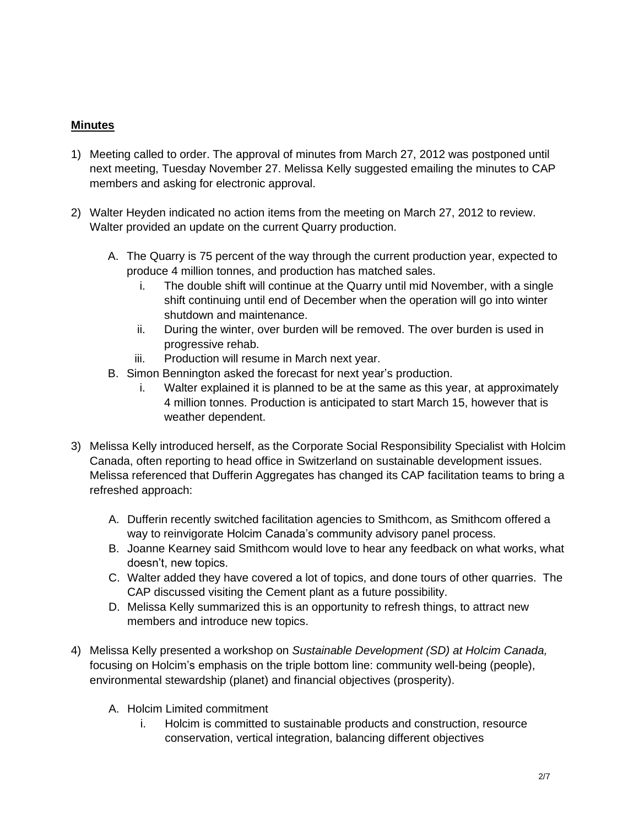## **Minutes**

- 1) Meeting called to order. The approval of minutes from March 27, 2012 was postponed until next meeting, Tuesday November 27. Melissa Kelly suggested emailing the minutes to CAP members and asking for electronic approval.
- 2) Walter Heyden indicated no action items from the meeting on March 27, 2012 to review. Walter provided an update on the current Quarry production.
	- A. The Quarry is 75 percent of the way through the current production year, expected to produce 4 million tonnes, and production has matched sales.
		- i. The double shift will continue at the Quarry until mid November, with a single shift continuing until end of December when the operation will go into winter shutdown and maintenance.
		- ii. During the winter, over burden will be removed. The over burden is used in progressive rehab.
		- iii. Production will resume in March next year.
	- B. Simon Bennington asked the forecast for next year's production.
		- i. Walter explained it is planned to be at the same as this year, at approximately 4 million tonnes. Production is anticipated to start March 15, however that is weather dependent.
- 3) Melissa Kelly introduced herself, as the Corporate Social Responsibility Specialist with Holcim Canada, often reporting to head office in Switzerland on sustainable development issues. Melissa referenced that Dufferin Aggregates has changed its CAP facilitation teams to bring a refreshed approach:
	- A. Dufferin recently switched facilitation agencies to Smithcom, as Smithcom offered a way to reinvigorate Holcim Canada's community advisory panel process.
	- B. Joanne Kearney said Smithcom would love to hear any feedback on what works, what doesn't, new topics.
	- C. Walter added they have covered a lot of topics, and done tours of other quarries. The CAP discussed visiting the Cement plant as a future possibility.
	- D. Melissa Kelly summarized this is an opportunity to refresh things, to attract new members and introduce new topics.
- 4) Melissa Kelly presented a workshop on *Sustainable Development (SD) at Holcim Canada,*  focusing on Holcim's emphasis on the triple bottom line: community well-being (people), environmental stewardship (planet) and financial objectives (prosperity).
	- A. Holcim Limited commitment
		- i. Holcim is committed to sustainable products and construction, resource conservation, vertical integration, balancing different objectives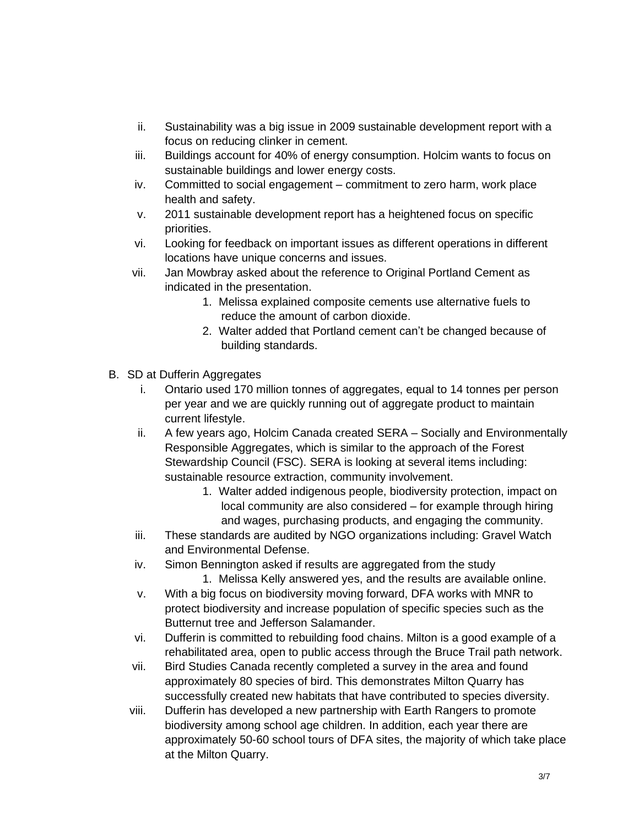- ii. Sustainability was a big issue in 2009 sustainable development report with a focus on reducing clinker in cement.
- iii. Buildings account for 40% of energy consumption. Holcim wants to focus on sustainable buildings and lower energy costs.
- iv. Committed to social engagement commitment to zero harm, work place health and safety.
- v. 2011 sustainable development report has a heightened focus on specific priorities.
- vi. Looking for feedback on important issues as different operations in different locations have unique concerns and issues.
- vii. Jan Mowbray asked about the reference to Original Portland Cement as indicated in the presentation.
	- 1. Melissa explained composite cements use alternative fuels to reduce the amount of carbon dioxide.
	- 2. Walter added that Portland cement can't be changed because of building standards.
- B. SD at Dufferin Aggregates
	- i. Ontario used 170 million tonnes of aggregates, equal to 14 tonnes per person per year and we are quickly running out of aggregate product to maintain current lifestyle.
	- ii. A few years ago, Holcim Canada created SERA Socially and Environmentally Responsible Aggregates, which is similar to the approach of the Forest Stewardship Council (FSC). SERA is looking at several items including: sustainable resource extraction, community involvement.
		- 1. Walter added indigenous people, biodiversity protection, impact on local community are also considered – for example through hiring and wages, purchasing products, and engaging the community.
	- iii. These standards are audited by NGO organizations including: Gravel Watch and Environmental Defense.
	- iv. Simon Bennington asked if results are aggregated from the study
		- 1. Melissa Kelly answered yes, and the results are available online.
	- v. With a big focus on biodiversity moving forward, DFA works with MNR to protect biodiversity and increase population of specific species such as the Butternut tree and Jefferson Salamander.
	- vi. Dufferin is committed to rebuilding food chains. Milton is a good example of a rehabilitated area, open to public access through the Bruce Trail path network.
	- vii. Bird Studies Canada recently completed a survey in the area and found approximately 80 species of bird. This demonstrates Milton Quarry has successfully created new habitats that have contributed to species diversity.
	- viii. Dufferin has developed a new partnership with Earth Rangers to promote biodiversity among school age children. In addition, each year there are approximately 50-60 school tours of DFA sites, the majority of which take place at the Milton Quarry.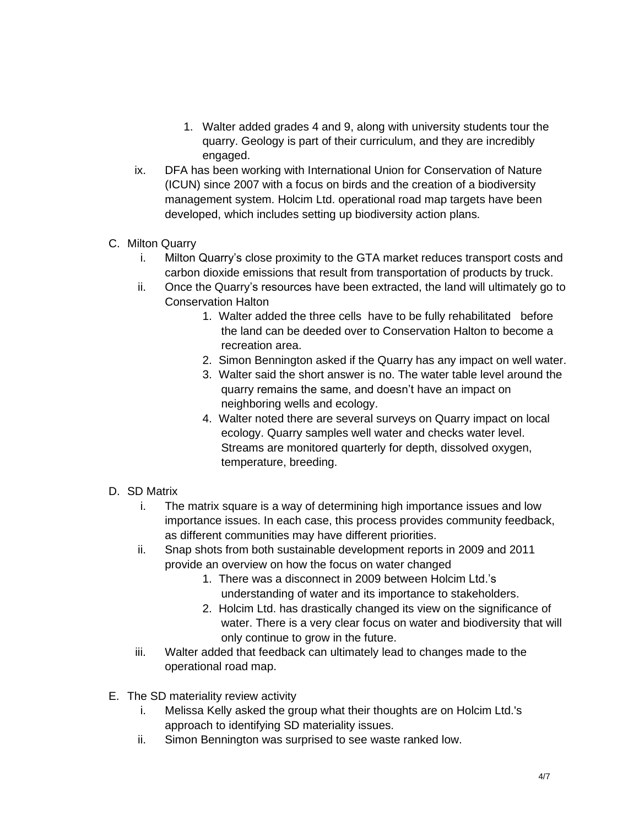- 1. Walter added grades 4 and 9, along with university students tour the quarry. Geology is part of their curriculum, and they are incredibly engaged.
- ix. DFA has been working with International Union for Conservation of Nature (ICUN) since 2007 with a focus on birds and the creation of a biodiversity management system. Holcim Ltd. operational road map targets have been developed, which includes setting up biodiversity action plans.
- C. Milton Quarry
	- i. Milton Quarry's close proximity to the GTA market reduces transport costs and carbon dioxide emissions that result from transportation of products by truck.
	- ii. Once the Quarry's resources have been extracted, the land will ultimately go to Conservation Halton
		- 1. Walter added the three cells have to be fully rehabilitated before the land can be deeded over to Conservation Halton to become a recreation area.
		- 2. Simon Bennington asked if the Quarry has any impact on well water.
		- 3. Walter said the short answer is no. The water table level around the quarry remains the same, and doesn't have an impact on neighboring wells and ecology.
		- 4. Walter noted there are several surveys on Quarry impact on local ecology. Quarry samples well water and checks water level. Streams are monitored quarterly for depth, dissolved oxygen, temperature, breeding.
- D. SD Matrix
	- i. The matrix square is a way of determining high importance issues and low importance issues. In each case, this process provides community feedback, as different communities may have different priorities.
	- ii. Snap shots from both sustainable development reports in 2009 and 2011 provide an overview on how the focus on water changed
		- 1. There was a disconnect in 2009 between Holcim Ltd.'s understanding of water and its importance to stakeholders.
		- 2. Holcim Ltd. has drastically changed its view on the significance of water. There is a very clear focus on water and biodiversity that will only continue to grow in the future.
	- iii. Walter added that feedback can ultimately lead to changes made to the operational road map.
- E. The SD materiality review activity
	- i. Melissa Kelly asked the group what their thoughts are on Holcim Ltd.'s approach to identifying SD materiality issues.
	- ii. Simon Bennington was surprised to see waste ranked low.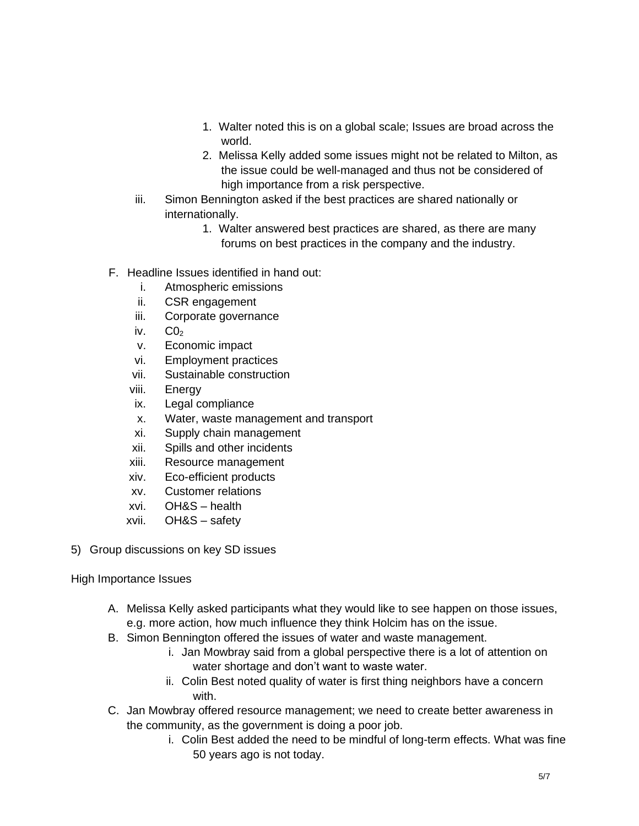- 1. Walter noted this is on a global scale; Issues are broad across the world.
- 2. Melissa Kelly added some issues might not be related to Milton, as the issue could be well-managed and thus not be considered of high importance from a risk perspective.
- iii. Simon Bennington asked if the best practices are shared nationally or internationally.
	- 1. Walter answered best practices are shared, as there are many forums on best practices in the company and the industry.
- F. Headline Issues identified in hand out:
	- i. Atmospheric emissions
	- ii. CSR engagement
	- iii. Corporate governance
	- iv.  $CO<sub>2</sub>$
	- v. Economic impact
	- vi. Employment practices
	- vii. Sustainable construction
	- viii. Energy
	- ix. Legal compliance
	- x. Water, waste management and transport
	- xi. Supply chain management
	- xii. Spills and other incidents
	- xiii. Resource management
	- xiv. Eco-efficient products
	- xv. Customer relations
	- xvi. OH&S health
	- xvii. OH&S safety
- 5) Group discussions on key SD issues

## High Importance Issues

- A. Melissa Kelly asked participants what they would like to see happen on those issues, e.g. more action, how much influence they think Holcim has on the issue.
- B. Simon Bennington offered the issues of water and waste management.
	- i. Jan Mowbray said from a global perspective there is a lot of attention on water shortage and don't want to waste water.
	- ii. Colin Best noted quality of water is first thing neighbors have a concern with.
- C. Jan Mowbray offered resource management; we need to create better awareness in the community, as the government is doing a poor job.
	- i. Colin Best added the need to be mindful of long-term effects. What was fine 50 years ago is not today.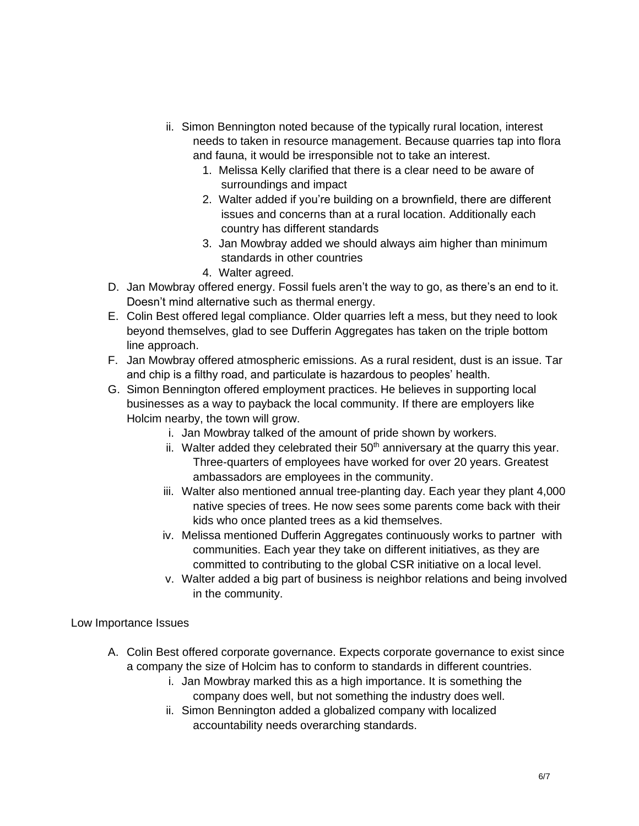- ii. Simon Bennington noted because of the typically rural location, interest needs to taken in resource management. Because quarries tap into flora and fauna, it would be irresponsible not to take an interest.
	- 1. Melissa Kelly clarified that there is a clear need to be aware of surroundings and impact
	- 2. Walter added if you're building on a brownfield, there are different issues and concerns than at a rural location. Additionally each country has different standards
	- 3. Jan Mowbray added we should always aim higher than minimum standards in other countries
	- 4. Walter agreed.
- D. Jan Mowbray offered energy. Fossil fuels aren't the way to go, as there's an end to it. Doesn't mind alternative such as thermal energy.
- E. Colin Best offered legal compliance. Older quarries left a mess, but they need to look beyond themselves, glad to see Dufferin Aggregates has taken on the triple bottom line approach.
- F. Jan Mowbray offered atmospheric emissions. As a rural resident, dust is an issue. Tar and chip is a filthy road, and particulate is hazardous to peoples' health.
- G. Simon Bennington offered employment practices. He believes in supporting local businesses as a way to payback the local community. If there are employers like Holcim nearby, the town will grow.
	- i. Jan Mowbray talked of the amount of pride shown by workers.
	- ii. Walter added they celebrated their  $50<sup>th</sup>$  anniversary at the quarry this year. Three-quarters of employees have worked for over 20 years. Greatest ambassadors are employees in the community.
	- iii. Walter also mentioned annual tree-planting day. Each year they plant 4,000 native species of trees. He now sees some parents come back with their kids who once planted trees as a kid themselves.
	- iv. Melissa mentioned Dufferin Aggregates continuously works to partner with communities. Each year they take on different initiatives, as they are committed to contributing to the global CSR initiative on a local level.
	- v. Walter added a big part of business is neighbor relations and being involved in the community.

Low Importance Issues

- A. Colin Best offered corporate governance. Expects corporate governance to exist since a company the size of Holcim has to conform to standards in different countries.
	- i. Jan Mowbray marked this as a high importance. It is something the company does well, but not something the industry does well.
	- ii. Simon Bennington added a globalized company with localized accountability needs overarching standards.